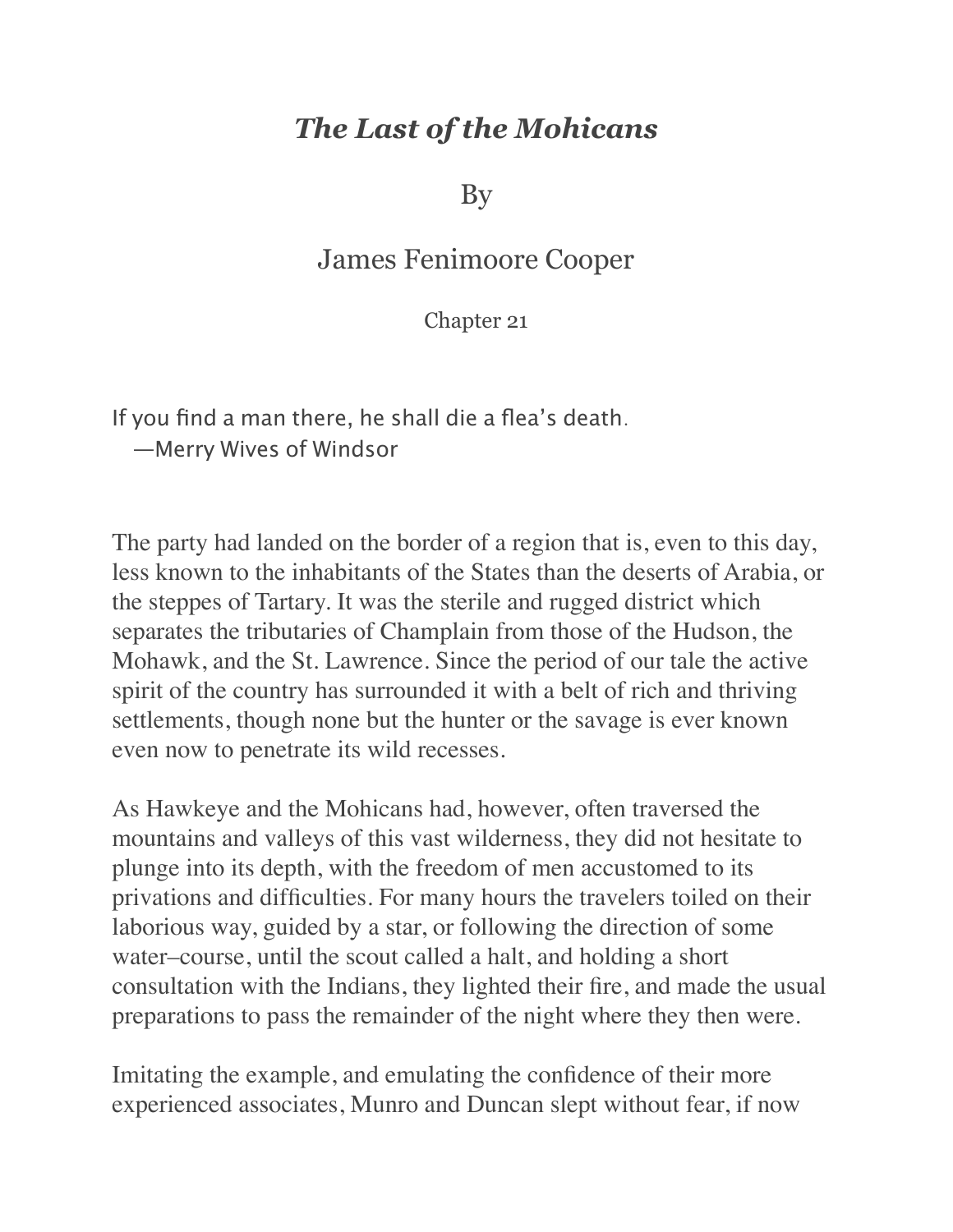## *The Last of the Mohicans*

By

## James Fenimoore Cooper

Chapter 21

If you find a man there, he shall die a flea's death. —Merry Wives of Windsor

The party had landed on the border of a region that is, even to this day, less known to the inhabitants of the States than the deserts of Arabia, or the steppes of Tartary. It was the sterile and rugged district which separates the tributaries of Champlain from those of the Hudson, the Mohawk, and the St. Lawrence. Since the period of our tale the active spirit of the country has surrounded it with a belt of rich and thriving settlements, though none but the hunter or the savage is ever known even now to penetrate its wild recesses.

As Hawkeye and the Mohicans had, however, often traversed the mountains and valleys of this vast wilderness, they did not hesitate to plunge into its depth, with the freedom of men accustomed to its privations and difficulties. For many hours the travelers toiled on their laborious way, guided by a star, or following the direction of some water–course, until the scout called a halt, and holding a short consultation with the Indians, they lighted their fire, and made the usual preparations to pass the remainder of the night where they then were.

Imitating the example, and emulating the confidence of their more experienced associates, Munro and Duncan slept without fear, if now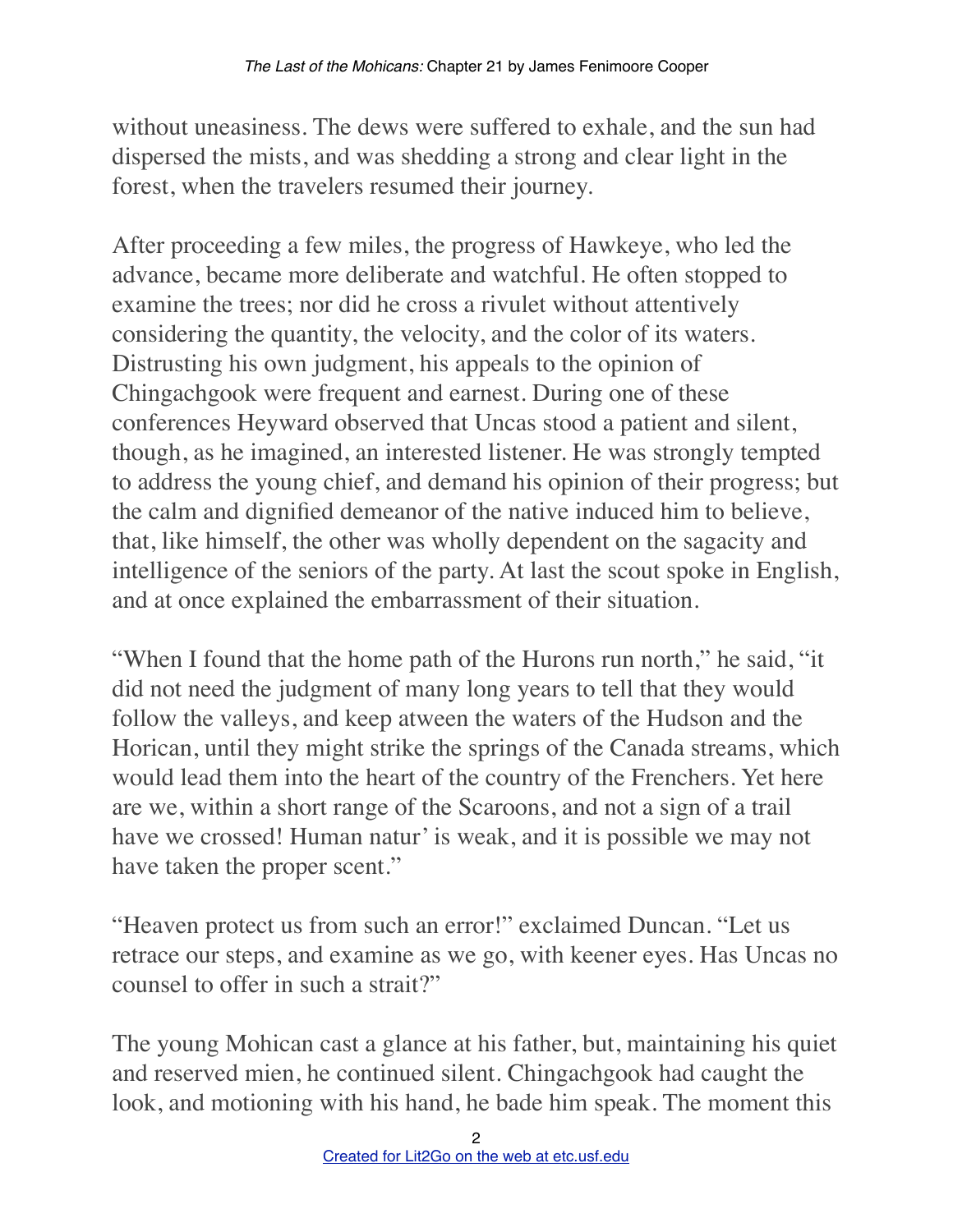without uneasiness. The dews were suffered to exhale, and the sun had dispersed the mists, and was shedding a strong and clear light in the forest, when the travelers resumed their journey.

After proceeding a few miles, the progress of Hawkeye, who led the advance, became more deliberate and watchful. He often stopped to examine the trees; nor did he cross a rivulet without attentively considering the quantity, the velocity, and the color of its waters. Distrusting his own judgment, his appeals to the opinion of Chingachgook were frequent and earnest. During one of these conferences Heyward observed that Uncas stood a patient and silent, though, as he imagined, an interested listener. He was strongly tempted to address the young chief, and demand his opinion of their progress; but the calm and dignified demeanor of the native induced him to believe, that, like himself, the other was wholly dependent on the sagacity and intelligence of the seniors of the party. At last the scout spoke in English, and at once explained the embarrassment of their situation.

"When I found that the home path of the Hurons run north," he said, "it did not need the judgment of many long years to tell that they would follow the valleys, and keep atween the waters of the Hudson and the Horican, until they might strike the springs of the Canada streams, which would lead them into the heart of the country of the Frenchers. Yet here are we, within a short range of the Scaroons, and not a sign of a trail have we crossed! Human natur' is weak, and it is possible we may not have taken the proper scent."

"Heaven protect us from such an error!" exclaimed Duncan. "Let us retrace our steps, and examine as we go, with keener eyes. Has Uncas no counsel to offer in such a strait?"

The young Mohican cast a glance at his father, but, maintaining his quiet and reserved mien, he continued silent. Chingachgook had caught the look, and motioning with his hand, he bade him speak. The moment this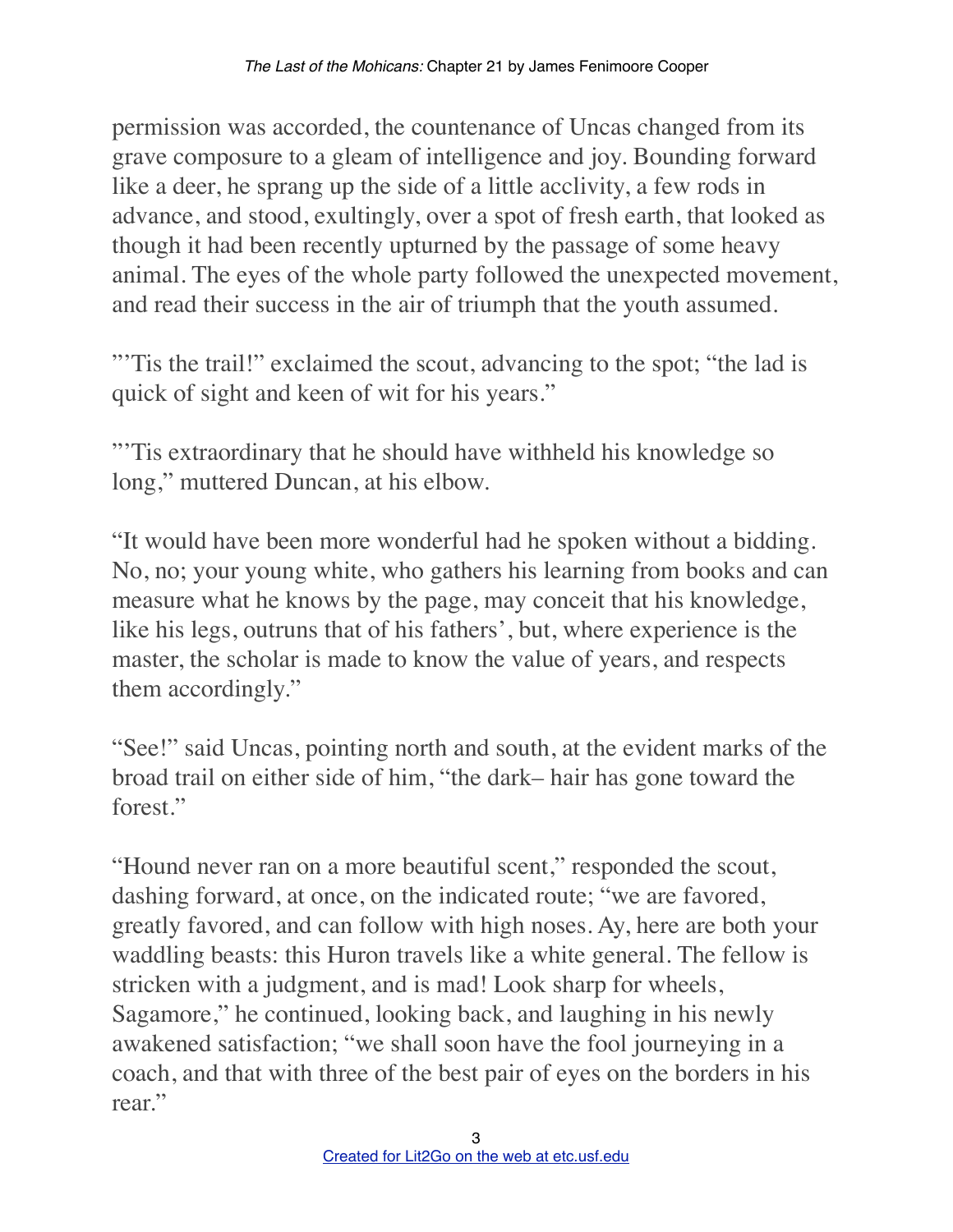permission was accorded, the countenance of Uncas changed from its grave composure to a gleam of intelligence and joy. Bounding forward like a deer, he sprang up the side of a little acclivity, a few rods in advance, and stood, exultingly, over a spot of fresh earth, that looked as though it had been recently upturned by the passage of some heavy animal. The eyes of the whole party followed the unexpected movement, and read their success in the air of triumph that the youth assumed.

"'Tis the trail!" exclaimed the scout, advancing to the spot; "the lad is quick of sight and keen of wit for his years."

"'Tis extraordinary that he should have withheld his knowledge so long," muttered Duncan, at his elbow.

"It would have been more wonderful had he spoken without a bidding. No, no; your young white, who gathers his learning from books and can measure what he knows by the page, may conceit that his knowledge, like his legs, outruns that of his fathers', but, where experience is the master, the scholar is made to know the value of years, and respects them accordingly."

"See!" said Uncas, pointing north and south, at the evident marks of the broad trail on either side of him, "the dark– hair has gone toward the forest."

"Hound never ran on a more beautiful scent," responded the scout, dashing forward, at once, on the indicated route; "we are favored, greatly favored, and can follow with high noses. Ay, here are both your waddling beasts: this Huron travels like a white general. The fellow is stricken with a judgment, and is mad! Look sharp for wheels, Sagamore," he continued, looking back, and laughing in his newly awakened satisfaction; "we shall soon have the fool journeying in a coach, and that with three of the best pair of eyes on the borders in his rear."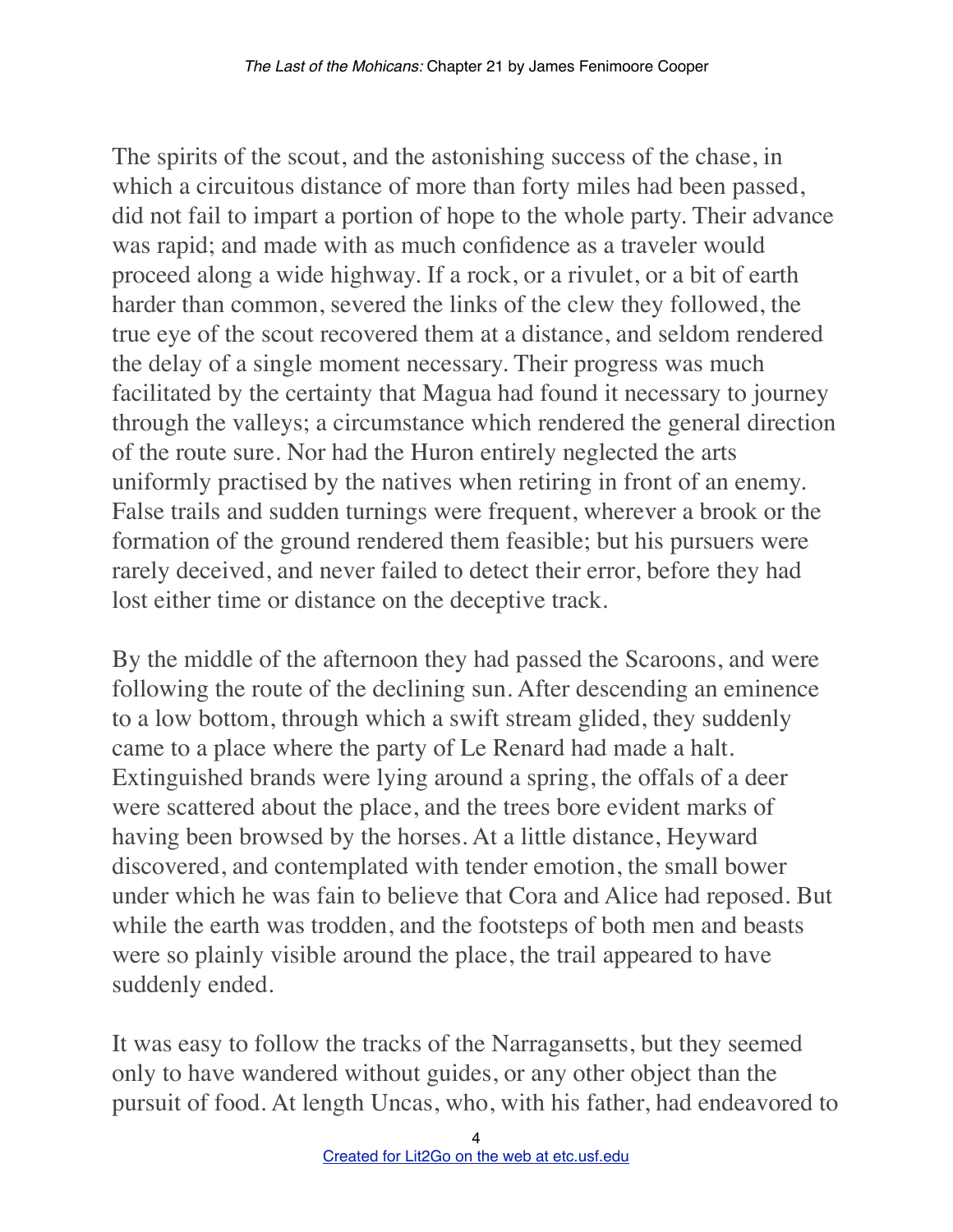The spirits of the scout, and the astonishing success of the chase, in which a circuitous distance of more than forty miles had been passed, did not fail to impart a portion of hope to the whole party. Their advance was rapid; and made with as much confidence as a traveler would proceed along a wide highway. If a rock, or a rivulet, or a bit of earth harder than common, severed the links of the clew they followed, the true eye of the scout recovered them at a distance, and seldom rendered the delay of a single moment necessary. Their progress was much facilitated by the certainty that Magua had found it necessary to journey through the valleys; a circumstance which rendered the general direction of the route sure. Nor had the Huron entirely neglected the arts uniformly practised by the natives when retiring in front of an enemy. False trails and sudden turnings were frequent, wherever a brook or the formation of the ground rendered them feasible; but his pursuers were rarely deceived, and never failed to detect their error, before they had lost either time or distance on the deceptive track.

By the middle of the afternoon they had passed the Scaroons, and were following the route of the declining sun. After descending an eminence to a low bottom, through which a swift stream glided, they suddenly came to a place where the party of Le Renard had made a halt. Extinguished brands were lying around a spring, the offals of a deer were scattered about the place, and the trees bore evident marks of having been browsed by the horses. At a little distance, Heyward discovered, and contemplated with tender emotion, the small bower under which he was fain to believe that Cora and Alice had reposed. But while the earth was trodden, and the footsteps of both men and beasts were so plainly visible around the place, the trail appeared to have suddenly ended.

It was easy to follow the tracks of the Narragansetts, but they seemed only to have wandered without guides, or any other object than the pursuit of food. At length Uncas, who, with his father, had endeavored to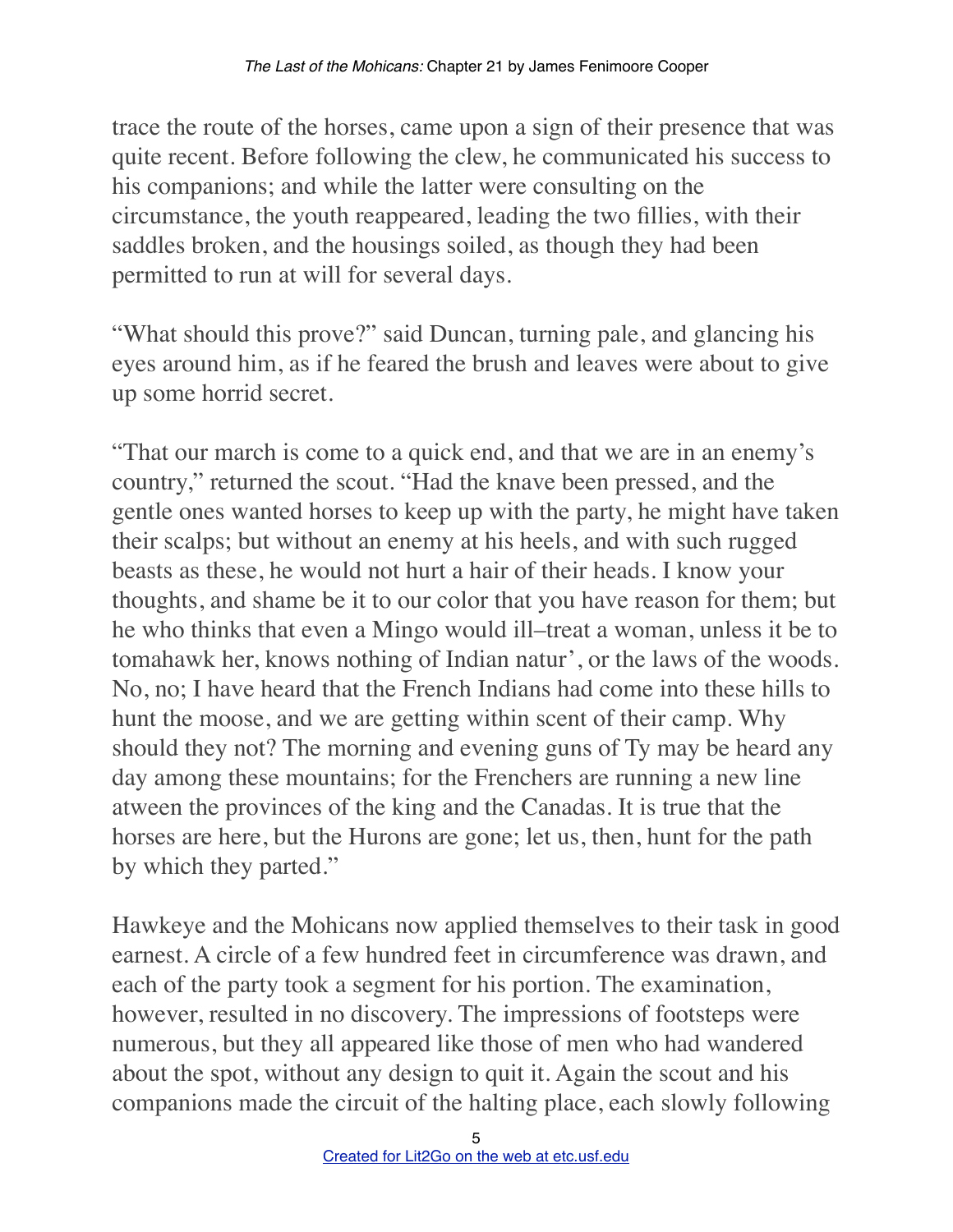trace the route of the horses, came upon a sign of their presence that was quite recent. Before following the clew, he communicated his success to his companions; and while the latter were consulting on the circumstance, the youth reappeared, leading the two fillies, with their saddles broken, and the housings soiled, as though they had been permitted to run at will for several days.

"What should this prove?" said Duncan, turning pale, and glancing his eyes around him, as if he feared the brush and leaves were about to give up some horrid secret.

"That our march is come to a quick end, and that we are in an enemy's country," returned the scout. "Had the knave been pressed, and the gentle ones wanted horses to keep up with the party, he might have taken their scalps; but without an enemy at his heels, and with such rugged beasts as these, he would not hurt a hair of their heads. I know your thoughts, and shame be it to our color that you have reason for them; but he who thinks that even a Mingo would ill–treat a woman, unless it be to tomahawk her, knows nothing of Indian natur', or the laws of the woods. No, no; I have heard that the French Indians had come into these hills to hunt the moose, and we are getting within scent of their camp. Why should they not? The morning and evening guns of Ty may be heard any day among these mountains; for the Frenchers are running a new line atween the provinces of the king and the Canadas. It is true that the horses are here, but the Hurons are gone; let us, then, hunt for the path by which they parted."

Hawkeye and the Mohicans now applied themselves to their task in good earnest. A circle of a few hundred feet in circumference was drawn, and each of the party took a segment for his portion. The examination, however, resulted in no discovery. The impressions of footsteps were numerous, but they all appeared like those of men who had wandered about the spot, without any design to quit it. Again the scout and his companions made the circuit of the halting place, each slowly following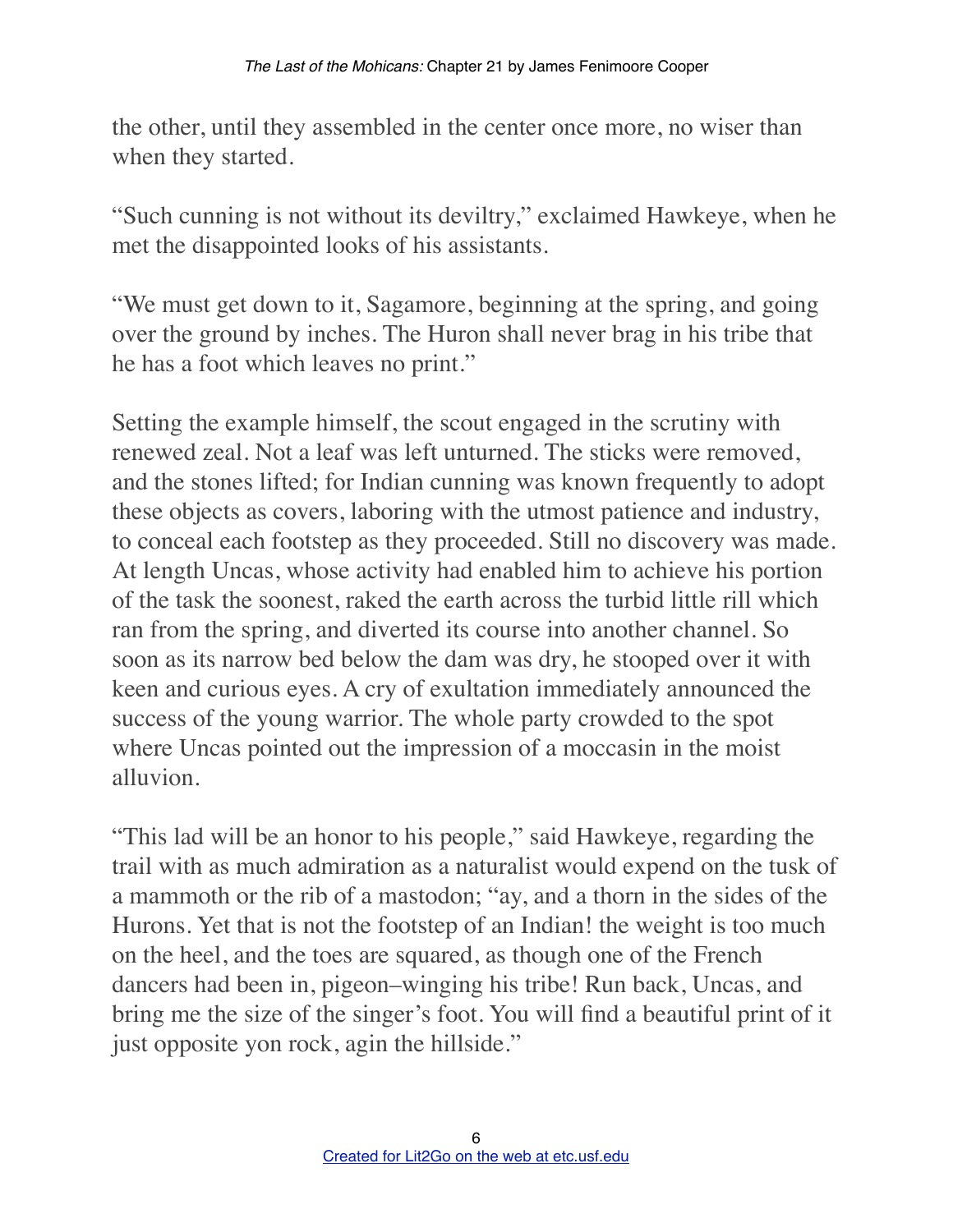the other, until they assembled in the center once more, no wiser than when they started.

"Such cunning is not without its deviltry," exclaimed Hawkeye, when he met the disappointed looks of his assistants.

"We must get down to it, Sagamore, beginning at the spring, and going over the ground by inches. The Huron shall never brag in his tribe that he has a foot which leaves no print."

Setting the example himself, the scout engaged in the scrutiny with renewed zeal. Not a leaf was left unturned. The sticks were removed, and the stones lifted; for Indian cunning was known frequently to adopt these objects as covers, laboring with the utmost patience and industry, to conceal each footstep as they proceeded. Still no discovery was made. At length Uncas, whose activity had enabled him to achieve his portion of the task the soonest, raked the earth across the turbid little rill which ran from the spring, and diverted its course into another channel. So soon as its narrow bed below the dam was dry, he stooped over it with keen and curious eyes. A cry of exultation immediately announced the success of the young warrior. The whole party crowded to the spot where Uncas pointed out the impression of a moccasin in the moist alluvion.

"This lad will be an honor to his people," said Hawkeye, regarding the trail with as much admiration as a naturalist would expend on the tusk of a mammoth or the rib of a mastodon; "ay, and a thorn in the sides of the Hurons. Yet that is not the footstep of an Indian! the weight is too much on the heel, and the toes are squared, as though one of the French dancers had been in, pigeon–winging his tribe! Run back, Uncas, and bring me the size of the singer's foot. You will find a beautiful print of it just opposite yon rock, agin the hillside."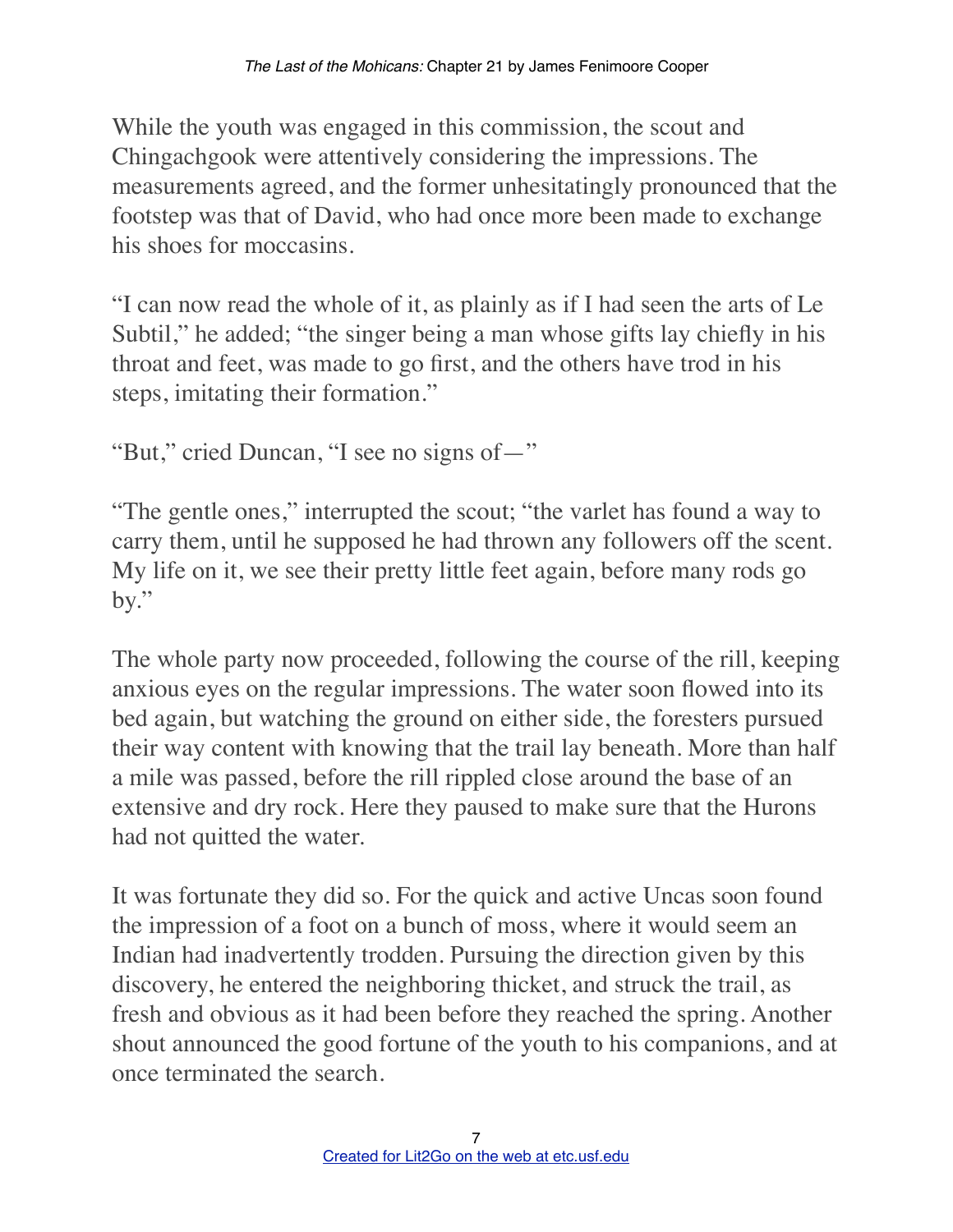While the youth was engaged in this commission, the scout and Chingachgook were attentively considering the impressions. The measurements agreed, and the former unhesitatingly pronounced that the footstep was that of David, who had once more been made to exchange his shoes for moccasins.

"I can now read the whole of it, as plainly as if I had seen the arts of Le Subtil," he added; "the singer being a man whose gifts lay chiefly in his throat and feet, was made to go first, and the others have trod in his steps, imitating their formation."

"But," cried Duncan, "I see no signs of—"

"The gentle ones," interrupted the scout; "the varlet has found a way to carry them, until he supposed he had thrown any followers off the scent. My life on it, we see their pretty little feet again, before many rods go by."

The whole party now proceeded, following the course of the rill, keeping anxious eyes on the regular impressions. The water soon flowed into its bed again, but watching the ground on either side, the foresters pursued their way content with knowing that the trail lay beneath. More than half a mile was passed, before the rill rippled close around the base of an extensive and dry rock. Here they paused to make sure that the Hurons had not quitted the water.

It was fortunate they did so. For the quick and active Uncas soon found the impression of a foot on a bunch of moss, where it would seem an Indian had inadvertently trodden. Pursuing the direction given by this discovery, he entered the neighboring thicket, and struck the trail, as fresh and obvious as it had been before they reached the spring. Another shout announced the good fortune of the youth to his companions, and at once terminated the search.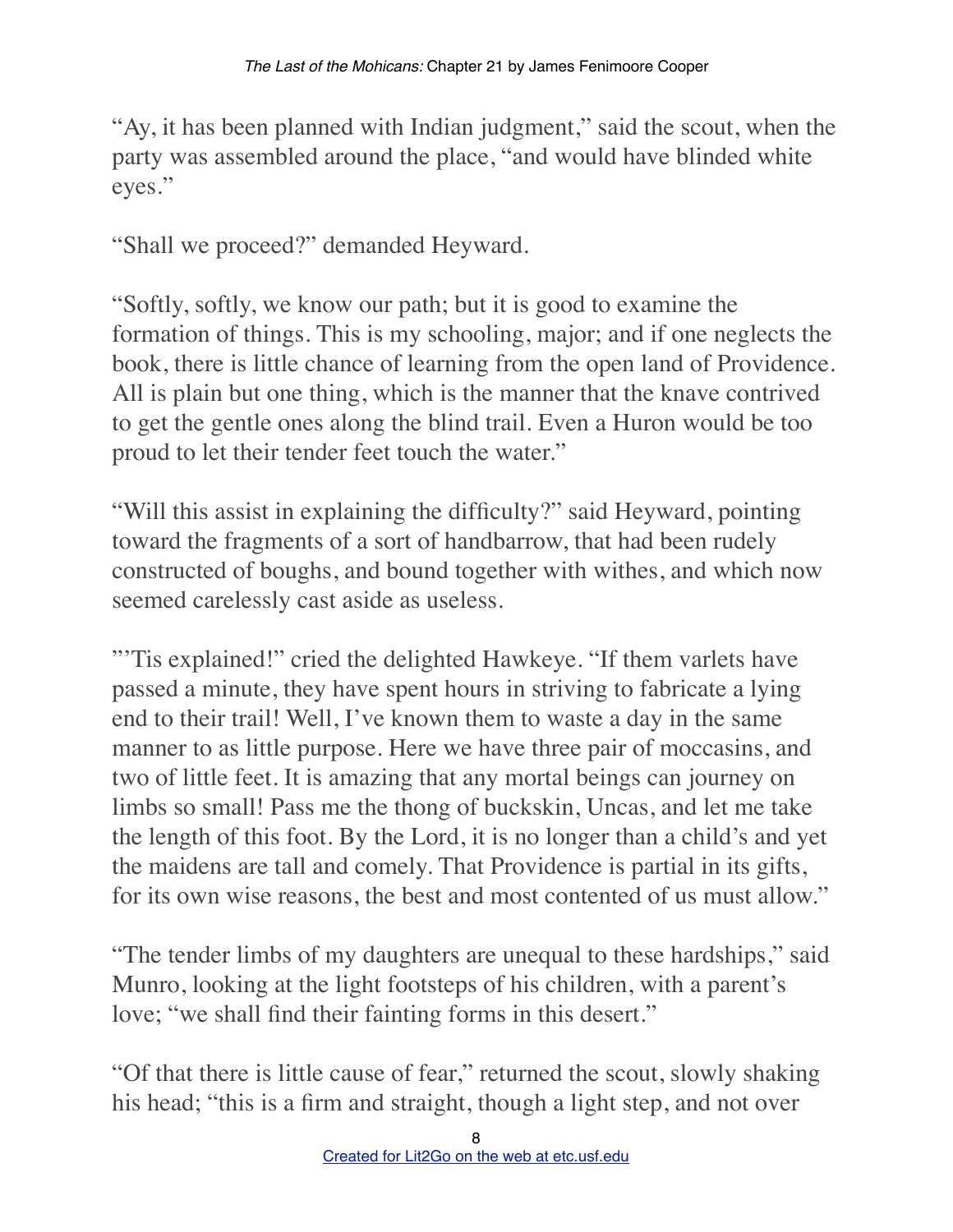"Ay, it has been planned with Indian judgment," said the scout, when the party was assembled around the place, "and would have blinded white eyes."

"Shall we proceed?" demanded Heyward.

"Softly, softly, we know our path; but it is good to examine the formation of things. This is my schooling, major; and if one neglects the book, there is little chance of learning from the open land of Providence. All is plain but one thing, which is the manner that the knave contrived to get the gentle ones along the blind trail. Even a Huron would be too proud to let their tender feet touch the water."

"Will this assist in explaining the difficulty?" said Heyward, pointing toward the fragments of a sort of handbarrow, that had been rudely constructed of boughs, and bound together with withes, and which now seemed carelessly cast aside as useless.

"'Tis explained!" cried the delighted Hawkeye. "If them varlets have passed a minute, they have spent hours in striving to fabricate a lying end to their trail! Well, I've known them to waste a day in the same manner to as little purpose. Here we have three pair of moccasins, and two of little feet. It is amazing that any mortal beings can journey on limbs so small! Pass me the thong of buckskin, Uncas, and let me take the length of this foot. By the Lord, it is no longer than a child's and yet the maidens are tall and comely. That Providence is partial in its gifts, for its own wise reasons, the best and most contented of us must allow."

"The tender limbs of my daughters are unequal to these hardships," said Munro, looking at the light footsteps of his children, with a parent's love; "we shall find their fainting forms in this desert."

"Of that there is little cause of fear," returned the scout, slowly shaking his head; "this is a firm and straight, though a light step, and not over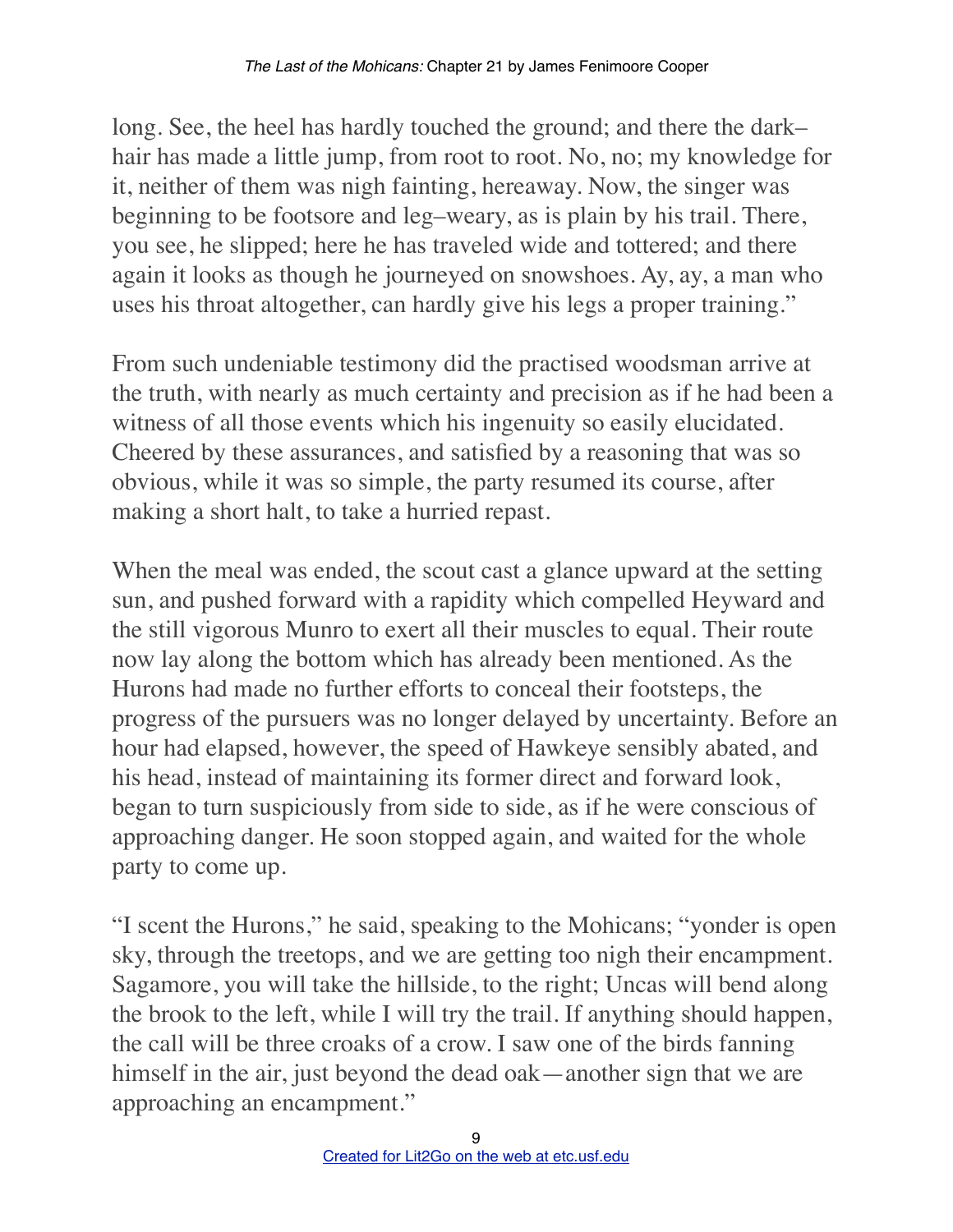long. See, the heel has hardly touched the ground; and there the dark– hair has made a little jump, from root to root. No, no; my knowledge for it, neither of them was nigh fainting, hereaway. Now, the singer was beginning to be footsore and leg–weary, as is plain by his trail. There, you see, he slipped; here he has traveled wide and tottered; and there again it looks as though he journeyed on snowshoes. Ay, ay, a man who uses his throat altogether, can hardly give his legs a proper training."

From such undeniable testimony did the practised woodsman arrive at the truth, with nearly as much certainty and precision as if he had been a witness of all those events which his ingenuity so easily elucidated. Cheered by these assurances, and satisfied by a reasoning that was so obvious, while it was so simple, the party resumed its course, after making a short halt, to take a hurried repast.

When the meal was ended, the scout cast a glance upward at the setting sun, and pushed forward with a rapidity which compelled Heyward and the still vigorous Munro to exert all their muscles to equal. Their route now lay along the bottom which has already been mentioned. As the Hurons had made no further efforts to conceal their footsteps, the progress of the pursuers was no longer delayed by uncertainty. Before an hour had elapsed, however, the speed of Hawkeye sensibly abated, and his head, instead of maintaining its former direct and forward look, began to turn suspiciously from side to side, as if he were conscious of approaching danger. He soon stopped again, and waited for the whole party to come up.

"I scent the Hurons," he said, speaking to the Mohicans; "yonder is open sky, through the treetops, and we are getting too nigh their encampment. Sagamore, you will take the hillside, to the right; Uncas will bend along the brook to the left, while I will try the trail. If anything should happen, the call will be three croaks of a crow. I saw one of the birds fanning himself in the air, just beyond the dead oak—another sign that we are approaching an encampment."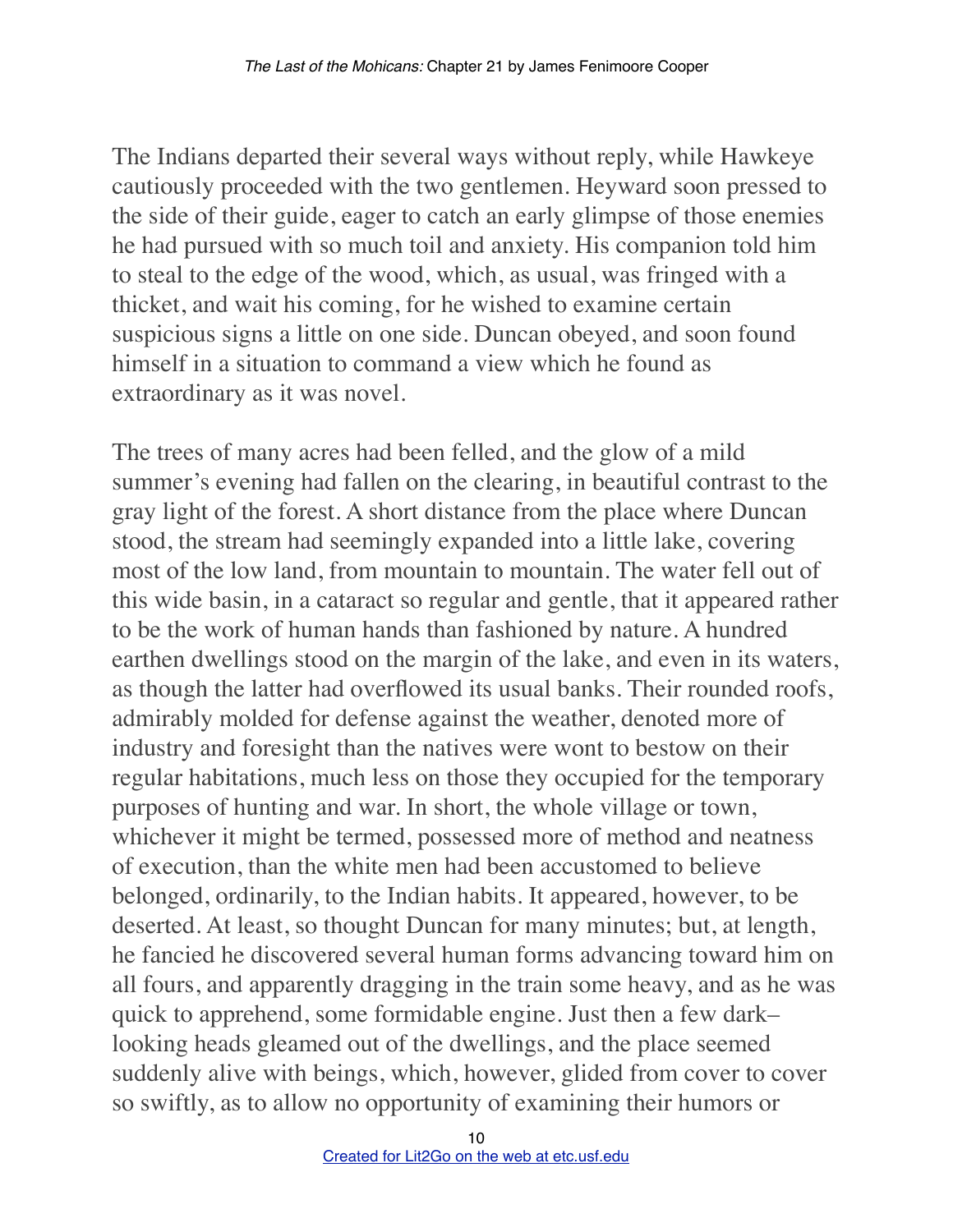The Indians departed their several ways without reply, while Hawkeye cautiously proceeded with the two gentlemen. Heyward soon pressed to the side of their guide, eager to catch an early glimpse of those enemies he had pursued with so much toil and anxiety. His companion told him to steal to the edge of the wood, which, as usual, was fringed with a thicket, and wait his coming, for he wished to examine certain suspicious signs a little on one side. Duncan obeyed, and soon found himself in a situation to command a view which he found as extraordinary as it was novel.

The trees of many acres had been felled, and the glow of a mild summer's evening had fallen on the clearing, in beautiful contrast to the gray light of the forest. A short distance from the place where Duncan stood, the stream had seemingly expanded into a little lake, covering most of the low land, from mountain to mountain. The water fell out of this wide basin, in a cataract so regular and gentle, that it appeared rather to be the work of human hands than fashioned by nature. A hundred earthen dwellings stood on the margin of the lake, and even in its waters, as though the latter had overflowed its usual banks. Their rounded roofs, admirably molded for defense against the weather, denoted more of industry and foresight than the natives were wont to bestow on their regular habitations, much less on those they occupied for the temporary purposes of hunting and war. In short, the whole village or town, whichever it might be termed, possessed more of method and neatness of execution, than the white men had been accustomed to believe belonged, ordinarily, to the Indian habits. It appeared, however, to be deserted. At least, so thought Duncan for many minutes; but, at length, he fancied he discovered several human forms advancing toward him on all fours, and apparently dragging in the train some heavy, and as he was quick to apprehend, some formidable engine. Just then a few dark– looking heads gleamed out of the dwellings, and the place seemed suddenly alive with beings, which, however, glided from cover to cover so swiftly, as to allow no opportunity of examining their humors or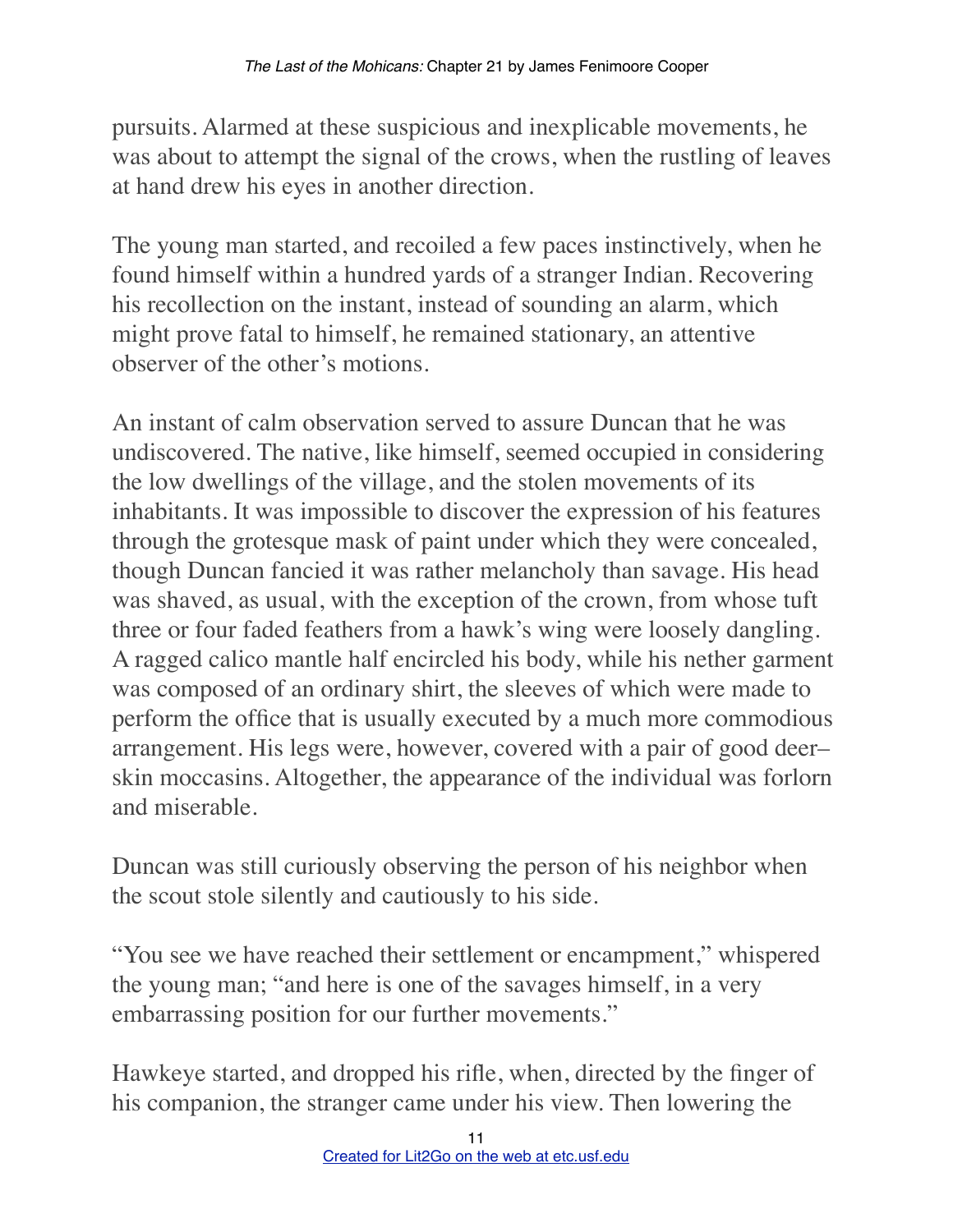pursuits. Alarmed at these suspicious and inexplicable movements, he was about to attempt the signal of the crows, when the rustling of leaves at hand drew his eyes in another direction.

The young man started, and recoiled a few paces instinctively, when he found himself within a hundred yards of a stranger Indian. Recovering his recollection on the instant, instead of sounding an alarm, which might prove fatal to himself, he remained stationary, an attentive observer of the other's motions.

An instant of calm observation served to assure Duncan that he was undiscovered. The native, like himself, seemed occupied in considering the low dwellings of the village, and the stolen movements of its inhabitants. It was impossible to discover the expression of his features through the grotesque mask of paint under which they were concealed, though Duncan fancied it was rather melancholy than savage. His head was shaved, as usual, with the exception of the crown, from whose tuft three or four faded feathers from a hawk's wing were loosely dangling. A ragged calico mantle half encircled his body, while his nether garment was composed of an ordinary shirt, the sleeves of which were made to perform the office that is usually executed by a much more commodious arrangement. His legs were, however, covered with a pair of good deer– skin moccasins. Altogether, the appearance of the individual was forlorn and miserable.

Duncan was still curiously observing the person of his neighbor when the scout stole silently and cautiously to his side.

"You see we have reached their settlement or encampment," whispered the young man; "and here is one of the savages himself, in a very embarrassing position for our further movements."

Hawkeye started, and dropped his rifle, when, directed by the finger of his companion, the stranger came under his view. Then lowering the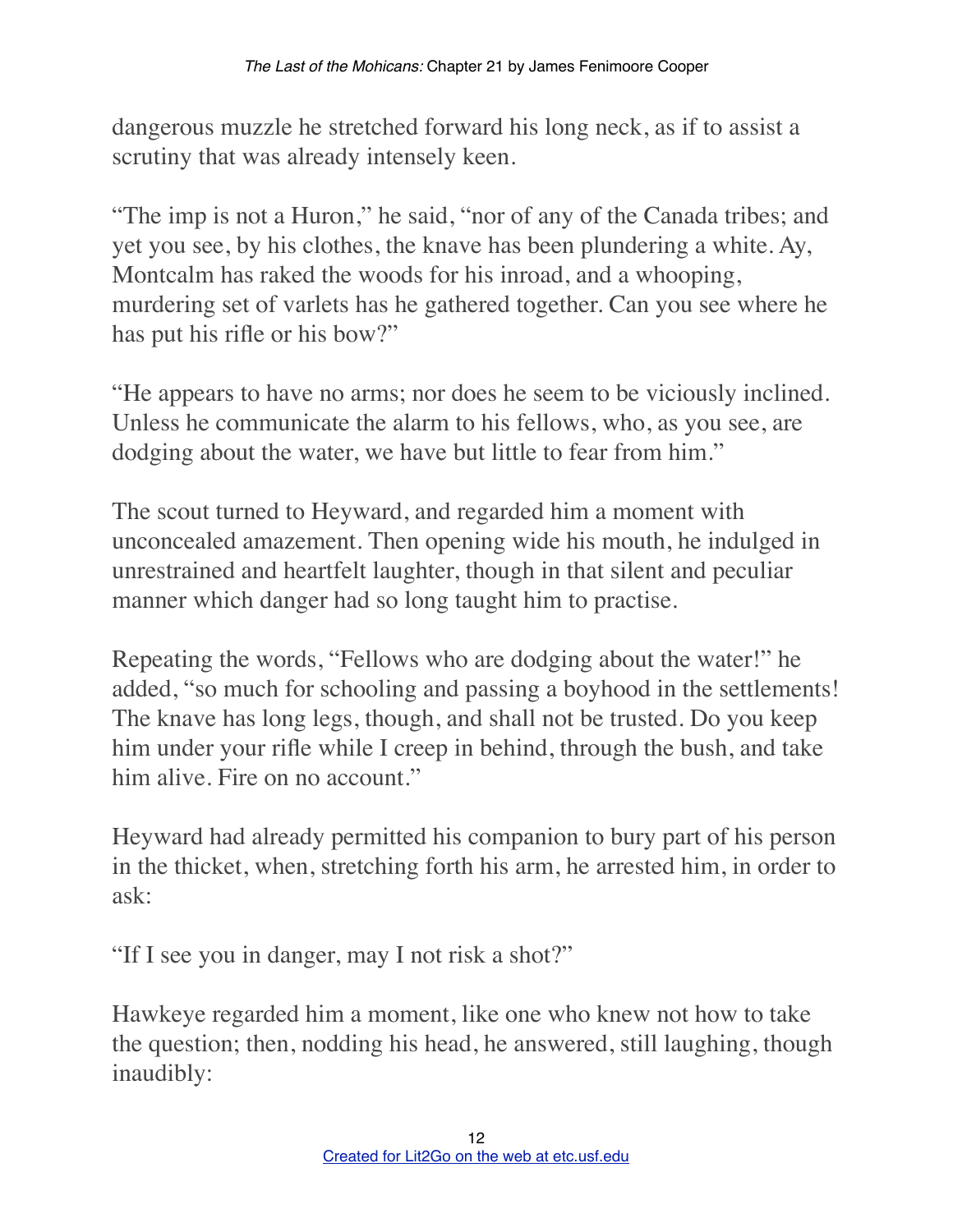dangerous muzzle he stretched forward his long neck, as if to assist a scrutiny that was already intensely keen.

"The imp is not a Huron," he said, "nor of any of the Canada tribes; and yet you see, by his clothes, the knave has been plundering a white. Ay, Montcalm has raked the woods for his inroad, and a whooping, murdering set of varlets has he gathered together. Can you see where he has put his rifle or his bow?"

"He appears to have no arms; nor does he seem to be viciously inclined. Unless he communicate the alarm to his fellows, who, as you see, are dodging about the water, we have but little to fear from him."

The scout turned to Heyward, and regarded him a moment with unconcealed amazement. Then opening wide his mouth, he indulged in unrestrained and heartfelt laughter, though in that silent and peculiar manner which danger had so long taught him to practise.

Repeating the words, "Fellows who are dodging about the water!" he added, "so much for schooling and passing a boyhood in the settlements! The knave has long legs, though, and shall not be trusted. Do you keep him under your rifle while I creep in behind, through the bush, and take him alive. Fire on no account."

Heyward had already permitted his companion to bury part of his person in the thicket, when, stretching forth his arm, he arrested him, in order to ask:

"If I see you in danger, may I not risk a shot?"

Hawkeye regarded him a moment, like one who knew not how to take the question; then, nodding his head, he answered, still laughing, though inaudibly: